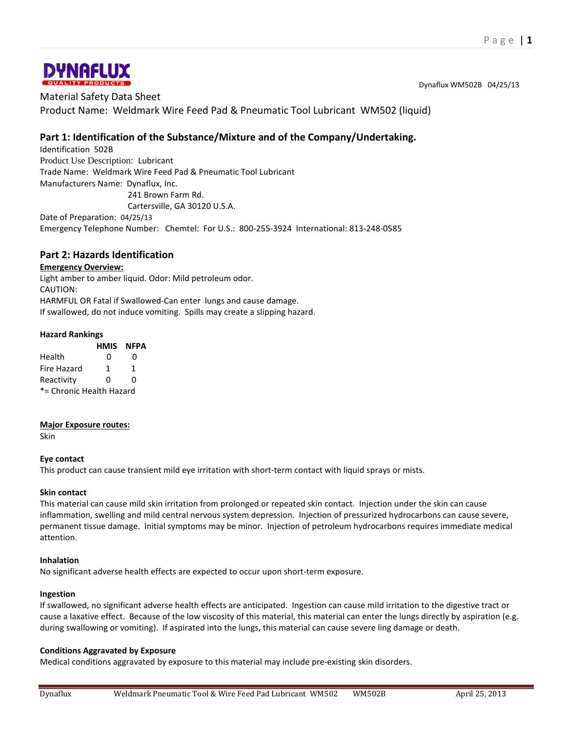

Dynaflux WM502B 04/25/13

Material Safety Data Sheet Product Name: Weldmark Wire Feed Pad & Pneumatic Tool Lubricant WM502 (liquid)

# **Part 1: Identification of the Substance/Mixture and of the Company/Undertaking.**

Identification 502B Product Use Description: Lubricant Trade Name: Weldmark Wire Feed Pad & Pneumatic Tool Lubricant Manufacturers Name: Dynaflux, Inc. 241 Brown Farm Rd.

Cartersville, GA 30120 U.S.A.

Date of Preparation: 04/25/13 Emergency Telephone Number: Chemtel: For U.S.: 800-255-3924 International: 813-248-0585

# **Part 2: Hazards Identification**

## **Emergency Overview:**

Light amber to amber liquid. Odor: Mild petroleum odor. CAUTION: HARMFUL OR Fatal if Swallowed-Can enter lungs and cause damage. If swallowed, do not induce vomiting. Spills may create a slipping hazard.

## **Hazard Rankings**

|                          | HMIS | NFPA |
|--------------------------|------|------|
| Health                   | O    | O    |
| Fire Hazard              | 1    | 1    |
| Reactivity               | ŋ    | ŋ    |
| *= Chronic Health Hazard |      |      |

## **Major Exposure routes:**

Skin

## **Eye contact**

This product can cause transient mild eye irritation with short-term contact with liquid sprays or mists.

## **Skin contact**

This material can cause mild skin irritation from prolonged or repeated skin contact. Injection under the skin can cause inflammation, swelling and mild central nervous system depression. Injection of pressurized hydrocarbons can cause severe, permanent tissue damage. Initial symptoms may be minor. Injection of petroleum hydrocarbons requires immediate medical attention.

#### **Inhalation**

No significant adverse health effects are expected to occur upon short-term exposure.

## **Ingestion**

If swallowed, no significant adverse health effects are anticipated. Ingestion can cause mild irritation to the digestive tract or cause a laxative effect. Because of the low viscosity of this material, this material can enter the lungs directly by aspiration (e.g. during swallowing or vomiting). If aspirated into the lungs, this material can cause severe ling damage or death.

## **Conditions Aggravated by Exposure**

Medical conditions aggravated by exposure to this material may include pre-existing skin disorders.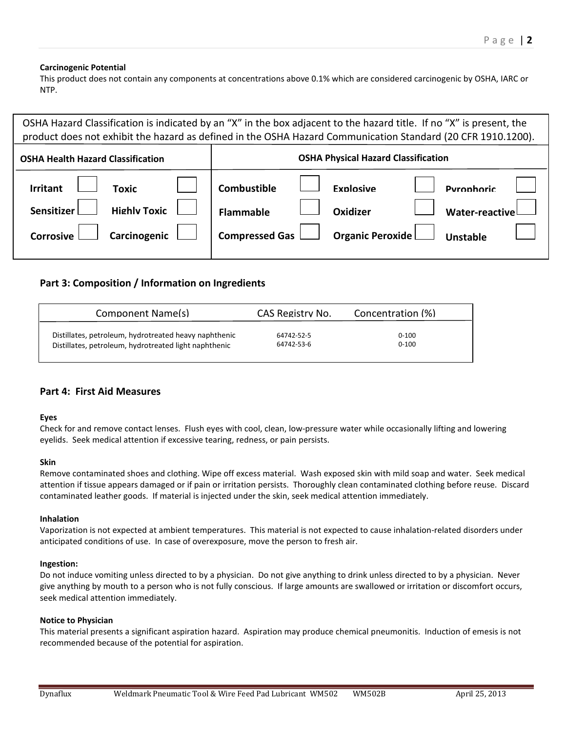#### **Carcinogenic Potential**

This product does not contain any components at concentrations above 0.1% which are considered carcinogenic by OSHA, IARC or NTP.

| OSHA Hazard Classification is indicated by an "X" in the box adjacent to the hazard title. If no "X" is present, the<br>product does not exhibit the hazard as defined in the OSHA Hazard Communication Standard (20 CFR 1910.1200). |                                                                                                                                                                        |  |  |
|--------------------------------------------------------------------------------------------------------------------------------------------------------------------------------------------------------------------------------------|------------------------------------------------------------------------------------------------------------------------------------------------------------------------|--|--|
| <b>OSHA Health Hazard Classification</b>                                                                                                                                                                                             | <b>OSHA Physical Hazard Classification</b>                                                                                                                             |  |  |
| <b>Toxic</b><br><b>Irritant</b><br><b>Highly Toxic</b><br>Sensitizer<br>Carcinogenic<br><b>Corrosive</b>                                                                                                                             | Combustible<br><b>Fynlosive</b><br><b>Pyronhoric</b><br><b>Flammable</b><br>Oxidizer<br><b>Water-reactive</b><br>Organic Peroxide<br><b>Compressed Gas</b><br>Unstable |  |  |

# **Part 3: Composition / Information on Ingredients**

| Component Name(s)                                     | CAS Registry No. | Concentration (%) |
|-------------------------------------------------------|------------------|-------------------|
| Distillates, petroleum, hydrotreated heavy naphthenic | 64742-52-5       | $0 - 100$         |
| Distillates, petroleum, hydrotreated light naphthenic | 64742-53-6       | $0 - 100$         |

# **Part 4: First Aid Measures**

#### **Eyes**

Check for and remove contact lenses. Flush eyes with cool, clean, low-pressure water while occasionally lifting and lowering eyelids. Seek medical attention if excessive tearing, redness, or pain persists.

#### **Skin**

Remove contaminated shoes and clothing. Wipe off excess material. Wash exposed skin with mild soap and water. Seek medical attention if tissue appears damaged or if pain or irritation persists. Thoroughly clean contaminated clothing before reuse. Discard contaminated leather goods. If material is injected under the skin, seek medical attention immediately.

#### **Inhalation**

Vaporization is not expected at ambient temperatures. This material is not expected to cause inhalation-related disorders under anticipated conditions of use. In case of overexposure, move the person to fresh air.

#### **Ingestion:**

Do not induce vomiting unless directed to by a physician. Do not give anything to drink unless directed to by a physician. Never give anything by mouth to a person who is not fully conscious. If large amounts are swallowed or irritation or discomfort occurs, seek medical attention immediately.

#### **Notice to Physician**

This material presents a significant aspiration hazard. Aspiration may produce chemical pneumonitis. Induction of emesis is not recommended because of the potential for aspiration.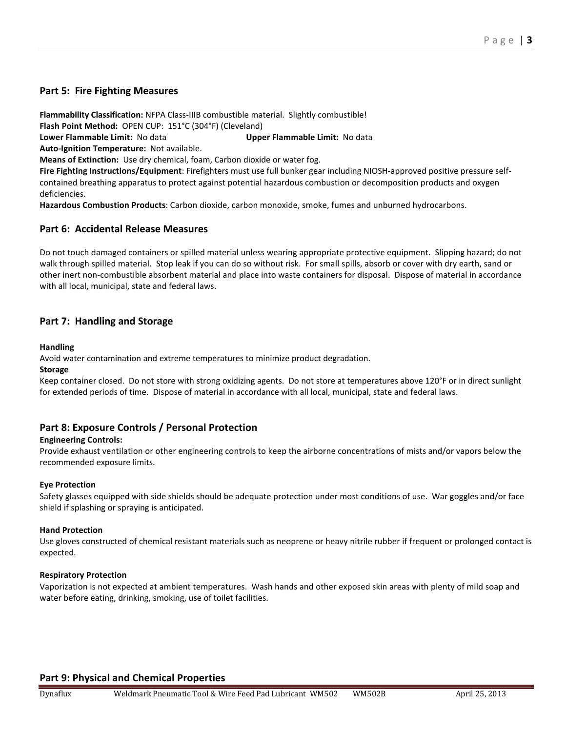# **Part 5: Fire Fighting Measures**

**Flammability Classification:** NFPA Class-IIIB combustible material. Slightly combustible! **Flash Point Method:** OPEN CUP: 151°C (304°F) (Cleveland)

**Lower Flammable Limit:** No data **Upper Flammable Limit:** No data

**Auto-Ignition Temperature:** Not available.

**Means of Extinction:** Use dry chemical, foam, Carbon dioxide or water fog.

**Fire Fighting Instructions/Equipment**: Firefighters must use full bunker gear including NIOSH-approved positive pressure selfcontained breathing apparatus to protect against potential hazardous combustion or decomposition products and oxygen deficiencies.

**Hazardous Combustion Products**: Carbon dioxide, carbon monoxide, smoke, fumes and unburned hydrocarbons.

## **Part 6: Accidental Release Measures**

Do not touch damaged containers or spilled material unless wearing appropriate protective equipment. Slipping hazard; do not walk through spilled material. Stop leak if you can do so without risk. For small spills, absorb or cover with dry earth, sand or other inert non-combustible absorbent material and place into waste containers for disposal. Dispose of material in accordance with all local, municipal, state and federal laws.

# **Part 7: Handling and Storage**

#### **Handling**

Avoid water contamination and extreme temperatures to minimize product degradation.

#### **Storage**

Keep container closed. Do not store with strong oxidizing agents. Do not store at temperatures above 120°F or in direct sunlight for extended periods of time. Dispose of material in accordance with all local, municipal, state and federal laws.

# **Part 8: Exposure Controls / Personal Protection**

## **Engineering Controls:**

Provide exhaust ventilation or other engineering controls to keep the airborne concentrations of mists and/or vapors below the recommended exposure limits.

## **Eye Protection**

Safety glasses equipped with side shields should be adequate protection under most conditions of use. War goggles and/or face shield if splashing or spraying is anticipated.

#### **Hand Protection**

Use gloves constructed of chemical resistant materials such as neoprene or heavy nitrile rubber if frequent or prolonged contact is expected.

#### **Respiratory Protection**

Vaporization is not expected at ambient temperatures. Wash hands and other exposed skin areas with plenty of mild soap and water before eating, drinking, smoking, use of toilet facilities.

# **Part 9: Physical and Chemical Properties**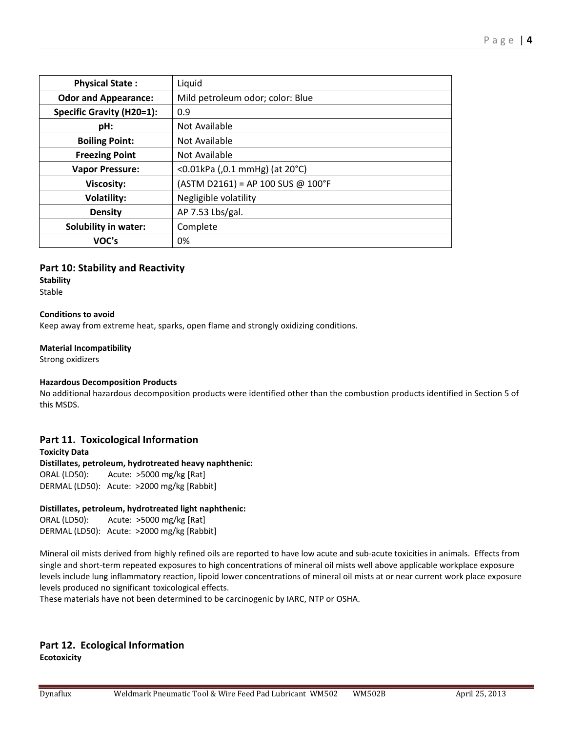| <b>Physical State:</b>           | Liquid                              |
|----------------------------------|-------------------------------------|
| <b>Odor and Appearance:</b>      | Mild petroleum odor; color: Blue    |
| <b>Specific Gravity (H20=1):</b> | 0.9                                 |
| pH:                              | Not Available                       |
| <b>Boiling Point:</b>            | Not Available                       |
| <b>Freezing Point</b>            | Not Available                       |
| <b>Vapor Pressure:</b>           | <0.01kPa (,0.1 mmHg) (at 20°C)      |
| <b>Viscosity:</b>                | $(ASTM D2161) = AP 100 SUS @ 100°F$ |
| <b>Volatility:</b>               | Negligible volatility               |
| <b>Density</b>                   | AP 7.53 Lbs/gal.                    |
| <b>Solubility in water:</b>      | Complete                            |
| VOC's                            | 0%                                  |

## **Part 10: Stability and Reactivity**

# **Stability**

Stable

## **Conditions to avoid**

Keep away from extreme heat, sparks, open flame and strongly oxidizing conditions.

## **Material Incompatibility**

Strong oxidizers

## **Hazardous Decomposition Products**

No additional hazardous decomposition products were identified other than the combustion products identified in Section 5 of this MSDS.

# **Part 11. Toxicological Information**

**Toxicity Data Distillates, petroleum, hydrotreated heavy naphthenic:**  ORAL (LD50): Acute: >5000 mg/kg [Rat] DERMAL (LD50): Acute: >2000 mg/kg [Rabbit]

## **Distillates, petroleum, hydrotreated light naphthenic:**

ORAL (LD50): Acute: >5000 mg/kg [Rat] DERMAL (LD50): Acute: >2000 mg/kg [Rabbit]

Mineral oil mists derived from highly refined oils are reported to have low acute and sub-acute toxicities in animals. Effects from single and short-term repeated exposures to high concentrations of mineral oil mists well above applicable workplace exposure levels include lung inflammatory reaction, lipoid lower concentrations of mineral oil mists at or near current work place exposure levels produced no significant toxicological effects.

These materials have not been determined to be carcinogenic by IARC, NTP or OSHA.

# **Part 12. Ecological Information Ecotoxicity**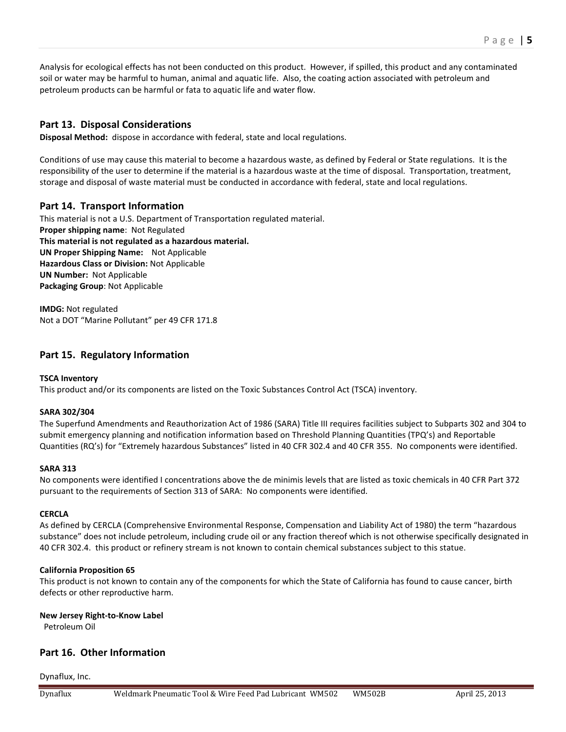Analysis for ecological effects has not been conducted on this product. However, if spilled, this product and any contaminated soil or water may be harmful to human, animal and aquatic life. Also, the coating action associated with petroleum and petroleum products can be harmful or fata to aquatic life and water flow.

# **Part 13. Disposal Considerations**

**Disposal Method:** dispose in accordance with federal, state and local regulations.

Conditions of use may cause this material to become a hazardous waste, as defined by Federal or State regulations. It is the responsibility of the user to determine if the material is a hazardous waste at the time of disposal. Transportation, treatment, storage and disposal of waste material must be conducted in accordance with federal, state and local regulations.

# **Part 14. Transport Information**

This material is not a U.S. Department of Transportation regulated material. **Proper shipping name**: Not Regulated **This material is not regulated as a hazardous material. UN Proper Shipping Name:** Not Applicable **Hazardous Class or Division:** Not Applicable **UN Number:** Not Applicable **Packaging Group**: Not Applicable

**IMDG:** Not regulated Not a DOT "Marine Pollutant" per 49 CFR 171.8

# **Part 15. Regulatory Information**

## **TSCA Inventory**

This product and/or its components are listed on the Toxic Substances Control Act (TSCA) inventory.

#### **SARA 302/304**

The Superfund Amendments and Reauthorization Act of 1986 (SARA) Title III requires facilities subject to Subparts 302 and 304 to submit emergency planning and notification information based on Threshold Planning Quantities (TPQ's) and Reportable Quantities (RQ's) for "Extremely hazardous Substances" listed in 40 CFR 302.4 and 40 CFR 355. No components were identified.

#### **SARA 313**

No components were identified I concentrations above the de minimis levels that are listed as toxic chemicals in 40 CFR Part 372 pursuant to the requirements of Section 313 of SARA: No components were identified.

#### **CERCLA**

As defined by CERCLA (Comprehensive Environmental Response, Compensation and Liability Act of 1980) the term "hazardous substance" does not include petroleum, including crude oil or any fraction thereof which is not otherwise specifically designated in 40 CFR 302.4. this product or refinery stream is not known to contain chemical substances subject to this statue.

#### **California Proposition 65**

This product is not known to contain any of the components for which the State of California has found to cause cancer, birth defects or other reproductive harm.

#### **New Jersey Right-to-Know Label**

Petroleum Oil

# **Part 16. Other Information**

Dynaflux, Inc.